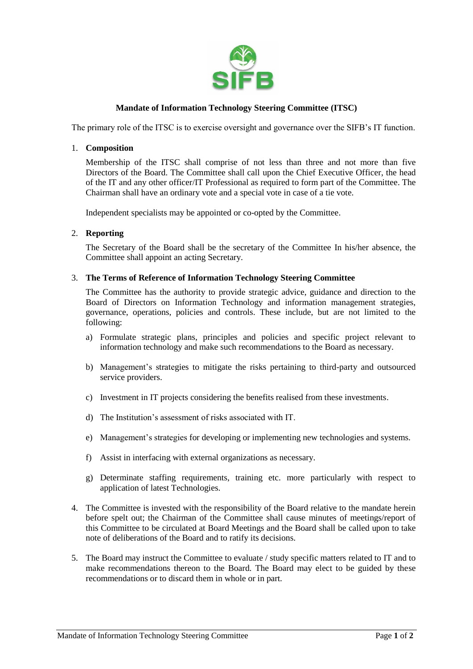

# **Mandate of Information Technology Steering Committee (ITSC)**

The primary role of the ITSC is to exercise oversight and governance over the SIFB's IT function.

#### 1. **Composition**

Membership of the ITSC shall comprise of not less than three and not more than five Directors of the Board. The Committee shall call upon the Chief Executive Officer, the head of the IT and any other officer/IT Professional as required to form part of the Committee. The Chairman shall have an ordinary vote and a special vote in case of a tie vote.

Independent specialists may be appointed or co-opted by the Committee.

## 2. **Reporting**

The Secretary of the Board shall be the secretary of the Committee In his/her absence, the Committee shall appoint an acting Secretary.

#### 3. **The Terms of Reference of Information Technology Steering Committee**

The Committee has the authority to provide strategic advice, guidance and direction to the Board of Directors on Information Technology and information management strategies, governance, operations, policies and controls. These include, but are not limited to the following:

- a) Formulate strategic plans, principles and policies and specific project relevant to information technology and make such recommendations to the Board as necessary.
- b) Management's strategies to mitigate the risks pertaining to third-party and outsourced service providers.
- c) Investment in IT projects considering the benefits realised from these investments.
- d) The Institution's assessment of risks associated with IT.
- e) Management's strategies for developing or implementing new technologies and systems.
- f) Assist in interfacing with external organizations as necessary.
- g) Determinate staffing requirements, training etc. more particularly with respect to application of latest Technologies.
- 4. The Committee is invested with the responsibility of the Board relative to the mandate herein before spelt out; the Chairman of the Committee shall cause minutes of meetings/report of this Committee to be circulated at Board Meetings and the Board shall be called upon to take note of deliberations of the Board and to ratify its decisions.
- 5. The Board may instruct the Committee to evaluate / study specific matters related to IT and to make recommendations thereon to the Board. The Board may elect to be guided by these recommendations or to discard them in whole or in part.